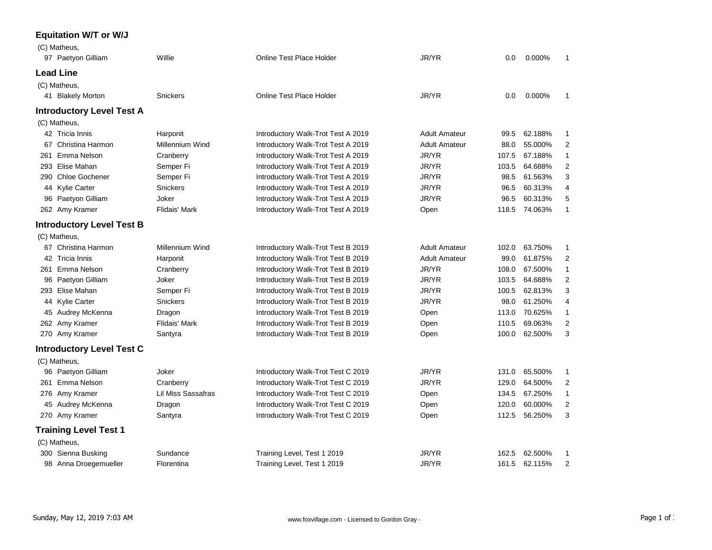## **Equitation W/T or W/J**

| (C) Matheus,                     |                      |                                    |                      |       |               |                |
|----------------------------------|----------------------|------------------------------------|----------------------|-------|---------------|----------------|
| 97 Paetyon Gilliam               | Willie               | <b>Online Test Place Holder</b>    | JR/YR                | 0.0   | 0.000%        | 1              |
| <b>Lead Line</b>                 |                      |                                    |                      |       |               |                |
| (C) Matheus,                     |                      |                                    |                      |       |               |                |
| 41 Blakely Morton                | <b>Snickers</b>      | <b>Online Test Place Holder</b>    | JR/YR                | 0.0   | 0.000%        | 1              |
| <b>Introductory Level Test A</b> |                      |                                    |                      |       |               |                |
| (C) Matheus,                     |                      |                                    |                      |       |               |                |
| 42 Tricia Innis                  | Harponit             | Introductory Walk-Trot Test A 2019 | <b>Adult Amateur</b> | 99.5  | 62.188%       | 1              |
| 67 Christina Harmon              | Millennium Wind      | Introductory Walk-Trot Test A 2019 | <b>Adult Amateur</b> | 88.0  | 55.000%       | 2              |
| 261 Emma Nelson                  | Cranberry            | Introductory Walk-Trot Test A 2019 | JR/YR                | 107.5 | 67.188%       | 1              |
| 293 Elise Mahan                  | Semper Fi            | Introductory Walk-Trot Test A 2019 | JR/YR                | 103.5 | 64.688%       | $\overline{c}$ |
| 290 Chloe Gochener               | Semper Fi            | Introductory Walk-Trot Test A 2019 | JR/YR                | 98.5  | 61.563%       | 3              |
| 44 Kylie Carter                  | <b>Snickers</b>      | Introductory Walk-Trot Test A 2019 | JR/YR                | 96.5  | 60.313%       | 4              |
| 96 Paetyon Gilliam               | Joker                | Introductory Walk-Trot Test A 2019 | JR/YR                | 96.5  | 60.313%       | 5              |
| 262 Amy Kramer                   | Flidais' Mark        | Introductory Walk-Trot Test A 2019 | Open                 |       | 118.5 74.063% | 1              |
| <b>Introductory Level Test B</b> |                      |                                    |                      |       |               |                |
| (C) Matheus,                     |                      |                                    |                      |       |               |                |
| 67 Christina Harmon              | Millennium Wind      | Introductory Walk-Trot Test B 2019 | <b>Adult Amateur</b> | 102.0 | 63.750%       | 1              |
| 42 Tricia Innis                  | Harponit             | Introductory Walk-Trot Test B 2019 | <b>Adult Amateur</b> | 99.0  | 61.875%       | $\overline{2}$ |
| 261 Emma Nelson                  | Cranberry            | Introductory Walk-Trot Test B 2019 | JR/YR                | 108.0 | 67.500%       | 1              |
| 96 Paetyon Gilliam               | Joker                | Introductory Walk-Trot Test B 2019 | JR/YR                | 103.5 | 64.688%       | $\overline{2}$ |
| 293 Elise Mahan                  | Semper Fi            | Introductory Walk-Trot Test B 2019 | JR/YR                | 100.5 | 62.813%       | 3              |
| 44 Kylie Carter                  | <b>Snickers</b>      | Introductory Walk-Trot Test B 2019 | JR/YR                | 98.0  | 61.250%       | 4              |
| 45 Audrey McKenna                | Dragon               | Introductory Walk-Trot Test B 2019 | Open                 | 113.0 | 70.625%       | 1              |
| 262 Amy Kramer                   | <b>Flidais' Mark</b> | Introductory Walk-Trot Test B 2019 | Open                 | 110.5 | 69.063%       | $\overline{2}$ |
| 270 Amy Kramer                   | Santyra              | Introductory Walk-Trot Test B 2019 | Open                 | 100.0 | 62.500%       | 3              |
| <b>Introductory Level Test C</b> |                      |                                    |                      |       |               |                |
| (C) Matheus,                     |                      |                                    |                      |       |               |                |
| 96 Paetyon Gilliam               | Joker                | Introductory Walk-Trot Test C 2019 | JR/YR                | 131.0 | 65.500%       | 1              |
| 261 Emma Nelson                  | Cranberry            | Introductory Walk-Trot Test C 2019 | JR/YR                | 129.0 | 64.500%       | $\overline{2}$ |
| 276 Amy Kramer                   | Lil Miss Sassafras   | Introductory Walk-Trot Test C 2019 | Open                 | 134.5 | 67.250%       | 1              |
| 45 Audrey McKenna                | Dragon               | Introductory Walk-Trot Test C 2019 | Open                 | 120.0 | 60.000%       | 2              |
| 270 Amy Kramer                   | Santyra              | Introductory Walk-Trot Test C 2019 | Open                 | 112.5 | 56.250%       | 3              |
| <b>Training Level Test 1</b>     |                      |                                    |                      |       |               |                |
| (C) Matheus,                     |                      |                                    |                      |       |               |                |
| 300 Sienna Busking               | Sundance             | Training Level, Test 1 2019        | JR/YR                | 162.5 | 62.500%       | 1              |
| 98 Anna Droegemueller            | Florentina           | Training Level, Test 1 2019        | JR/YR                | 161.5 | 62.115%       | 2              |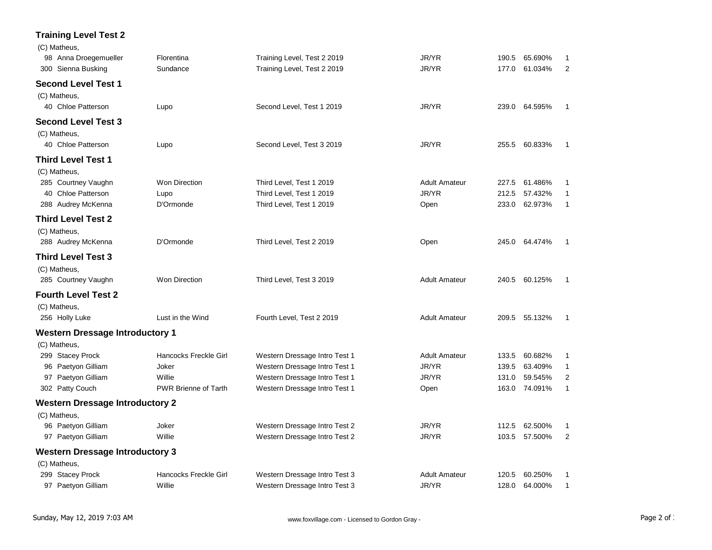## **Training Level Test 2**

| (C) Matheus,<br>98 Anna Droegemueller  | Florentina                  | Training Level, Test 2 2019   | JR/YR                | 190.5 | 65.690%       | 1              |
|----------------------------------------|-----------------------------|-------------------------------|----------------------|-------|---------------|----------------|
| 300 Sienna Busking                     | Sundance                    | Training Level, Test 2 2019   | JR/YR                | 177.0 | 61.034%       | $\overline{2}$ |
| <b>Second Level Test 1</b>             |                             |                               |                      |       |               |                |
| (C) Matheus,                           |                             |                               |                      |       |               |                |
| 40 Chloe Patterson                     | Lupo                        | Second Level, Test 1 2019     | JR/YR                |       | 239.0 64.595% | 1              |
| <b>Second Level Test 3</b>             |                             |                               |                      |       |               |                |
| (C) Matheus,                           |                             |                               |                      |       |               |                |
| 40 Chloe Patterson                     | Lupo                        | Second Level, Test 3 2019     | JR/YR                | 255.5 | 60.833%       | 1              |
| <b>Third Level Test 1</b>              |                             |                               |                      |       |               |                |
| (C) Matheus,                           |                             |                               |                      |       |               |                |
| 285 Courtney Vaughn                    | Won Direction               | Third Level, Test 1 2019      | <b>Adult Amateur</b> | 227.5 | 61.486%       | 1              |
| 40 Chloe Patterson                     | Lupo                        | Third Level, Test 1 2019      | JR/YR                | 212.5 | 57.432%       | $\mathbf{1}$   |
| 288 Audrey McKenna                     | D'Ormonde                   | Third Level, Test 1 2019      | Open                 | 233.0 | 62.973%       | 1              |
| <b>Third Level Test 2</b>              |                             |                               |                      |       |               |                |
| (C) Matheus,                           |                             |                               |                      |       |               |                |
| 288 Audrey McKenna                     | D'Ormonde                   | Third Level, Test 2 2019      | Open                 | 245.0 | 64.474%       | $\mathbf{1}$   |
| <b>Third Level Test 3</b>              |                             |                               |                      |       |               |                |
| (C) Matheus,                           |                             |                               |                      |       |               |                |
| 285 Courtney Vaughn                    | Won Direction               | Third Level, Test 3 2019      | <b>Adult Amateur</b> |       | 240.5 60.125% | 1              |
| <b>Fourth Level Test 2</b>             |                             |                               |                      |       |               |                |
| (C) Matheus,                           |                             |                               |                      |       |               |                |
| 256 Holly Luke                         | Lust in the Wind            | Fourth Level, Test 2 2019     | <b>Adult Amateur</b> |       | 209.5 55.132% | 1              |
| <b>Western Dressage Introductory 1</b> |                             |                               |                      |       |               |                |
| (C) Matheus,                           |                             |                               |                      |       |               |                |
| 299 Stacey Prock                       | Hancocks Freckle Girl       | Western Dressage Intro Test 1 | <b>Adult Amateur</b> | 133.5 | 60.682%       | 1              |
| 96 Paetyon Gilliam                     | Joker                       | Western Dressage Intro Test 1 | JR/YR                | 139.5 | 63.409%       | $\mathbf{1}$   |
| 97 Paetyon Gilliam                     | Willie                      | Western Dressage Intro Test 1 | JR/YR                | 131.0 | 59.545%       | 2              |
| 302 Patty Couch                        | <b>PWR Brienne of Tarth</b> | Western Dressage Intro Test 1 | Open                 | 163.0 | 74.091%       | $\mathbf{1}$   |
| <b>Western Dressage Introductory 2</b> |                             |                               |                      |       |               |                |
| (C) Matheus,                           |                             |                               |                      |       |               |                |
| 96 Paetyon Gilliam                     | Joker                       | Western Dressage Intro Test 2 | JR/YR                | 112.5 | 62.500%       | 1              |
| 97 Paetyon Gilliam                     | Willie                      | Western Dressage Intro Test 2 | JR/YR                | 103.5 | 57.500%       | 2              |
| <b>Western Dressage Introductory 3</b> |                             |                               |                      |       |               |                |
| (C) Matheus,                           |                             |                               |                      |       |               |                |
| 299 Stacey Prock                       | Hancocks Freckle Girl       | Western Dressage Intro Test 3 | <b>Adult Amateur</b> | 120.5 | 60.250%       | 1              |
| 97 Paetyon Gilliam                     | Willie                      | Western Dressage Intro Test 3 | JR/YR                | 128.0 | 64.000%       | 1              |